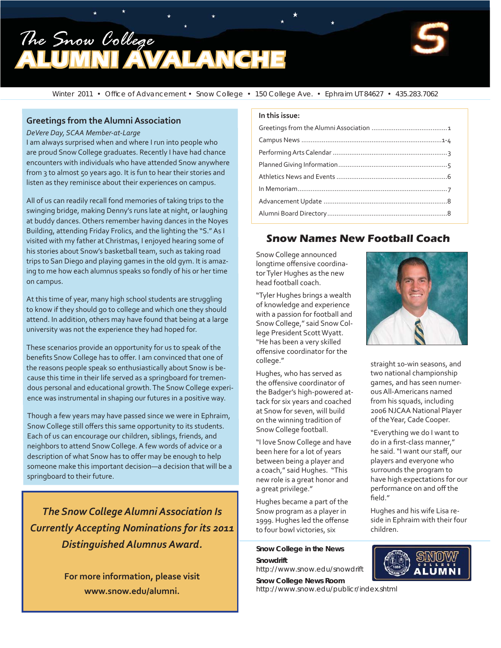# *The Snow College* **MALANCH**



Winter 2011 • Office of Advancement • Snow College • 150 College Ave. • Ephraim UT 84627 • 435.283.7062

#### **Greetings from the Alumni Association**

#### *DeVere Day, SCAA Member-at-Large*

I am always surprised when and where I run into people who are proud Snow College graduates. Recently I have had chance encounters with individuals who have attended Snow anywhere from 3 to almost 50 years ago. It is fun to hear their stories and listen as they reminisce about their experiences on campus.

All of us can readily recall fond memories of taking trips to the swinging bridge, making Denny's runs late at night, or laughing at buddy dances. Others remember having dances in the Noyes Building, attending Friday Frolics, and the lighting the "S." As I visited with my father at Christmas, I enjoyed hearing some of his stories about Snow's basketball team, such as taking road trips to San Diego and playing games in the old gym. It is amazing to me how each alumnus speaks so fondly of his or her time on campus.

At this time of year, many high school students are struggling to know if they should go to college and which one they should attend. In addition, others may have found that being at a large university was not the experience they had hoped for.

These scenarios provide an opportunity for us to speak of the benefits Snow College has to offer. I am convinced that one of the reasons people speak so enthusiastically about Snow is because this time in their life served as a springboard for tremendous personal and educational growth. The Snow College experience was instrumental in shaping our futures in a positive way.

Though a few years may have passed since we were in Ephraim, Snow College still offers this same opportunity to its students. Each of us can encourage our children, siblings, friends, and neighbors to attend Snow College. A few words of advice or a description of what Snow has to offer may be enough to help someone make this important decision—a decision that will be a springboard to their future.

*The Snow College Alumni Association Is Currently Accepting Nominations for its 2011 Distinguished Alumnus Award.*

> **For more information, please visit www.snow.edu/alumni.**

#### **In this issue:**

### **Snow Names New Football Coach**

Snow College announced longtime offensive coordinator Tyler Hughes as the new head football coach.

"Tyler Hughes brings a wealth of knowledge and experience with a passion for football and Snow College," said Snow College President Scott Wyatt. "He has been a very skilled offensive coordinator for the college."

Hughes, who has served as the offensive coordinator of the Badger's high-powered attack for six years and coached at Snow for seven, will build on the winning tradition of Snow College football.

"I love Snow College and have been here for a lot of years between being a player and a coach," said Hughes. "This new role is a great honor and a great privilege."

Hughes became a part of the Snow program as a player in 1999. Hughes led the offense to four bowl victories, six

#### **Snow College in the News**

**Snowdrift** http://www.snow.edu/snowdrift

**Snow College News Room** http://www.snow.edu/publicr/index.shtml



straight 10-win seasons, and two national championship games, and has seen numerous All-Americans named from his squads, including 2006 NJCAA National Player of the Year, Cade Cooper.

"Everything we do I want to do in a first-class manner," he said. "I want our staff, our players and everyone who surrounds the program to have high expectations for our performance on and off the field."

Hughes and his wife Lisa reside in Ephraim with their four children.

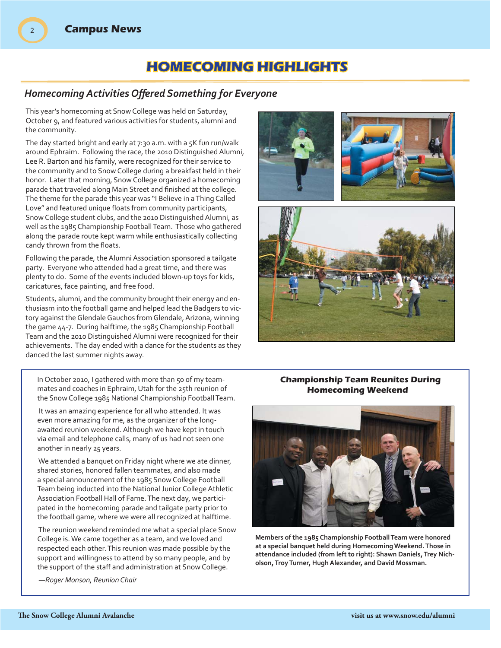## **HOMECOMING HIGHLIGHTS OMECOMING**

### *Homecoming Activities Off ered Something for Everyone*

This year's homecoming at Snow College was held on Saturday, October 9, and featured various activities for students, alumni and the community.

The day started bright and early at 7:30 a.m. with a 5K fun run/walk around Ephraim. Following the race, the 2010 Distinguished Alumni, Lee R. Barton and his family, were recognized for their service to the community and to Snow College during a breakfast held in their honor. Later that morning, Snow College organized a homecoming parade that traveled along Main Street and finished at the college. The theme for the parade this year was "I Believe in a Thing Called Love" and featured unique floats from community participants, Snow College student clubs, and the 2010 Distinguished Alumni, as well as the 1985 Championship Football Team. Those who gathered along the parade route kept warm while enthusiastically collecting candy thrown from the floats.

Following the parade, the Alumni Association sponsored a tailgate party. Everyone who attended had a great time, and there was plenty to do. Some of the events included blown-up toys for kids, caricatures, face painting, and free food.

Students, alumni, and the community brought their energy and enthusiasm into the football game and helped lead the Badgers to victory against the Glendale Gauchos from Glendale, Arizona, winning the game 44-7. During halftime, the 1985 Championship Football Team and the 2010 Distinguished Alumni were recognized for their achievements. The day ended with a dance for the students as they danced the last summer nights away.



In October 2010, I gathered with more than 50 of my teammates and coaches in Ephraim, Utah for the 25th reunion of the Snow College 1985 National Championship Football Team.

 It was an amazing experience for all who attended. It was even more amazing for me, as the organizer of the longawaited reunion weekend. Although we have kept in touch via email and telephone calls, many of us had not seen one another in nearly 25 years.

 We attended a banquet on Friday night where we ate dinner, shared stories, honored fallen teammates, and also made a special announcement of the 1985 Snow College Football Team being inducted into the National Junior College Athletic Association Football Hall of Fame. The next day, we participated in the homecoming parade and tailgate party prior to the football game, where we were all recognized at halftime.

 The reunion weekend reminded me what a special place Snow College is. We came together as a team, and we loved and respected each other. This reunion was made possible by the support and willingness to attend by so many people, and by the support of the staff and administration at Snow College.

 *—Roger Monson, Reunion Chair*

### **Championship Team Reunites During Homecoming Weekend**



**Members of the 1985 Championship Football Team were honored at a special banquet held during Homecoming Weekend. Those in attendance included (from left to right): Shawn Daniels, Trey Nicholson, Troy Turner, Hugh Alexander, and David Mossman.**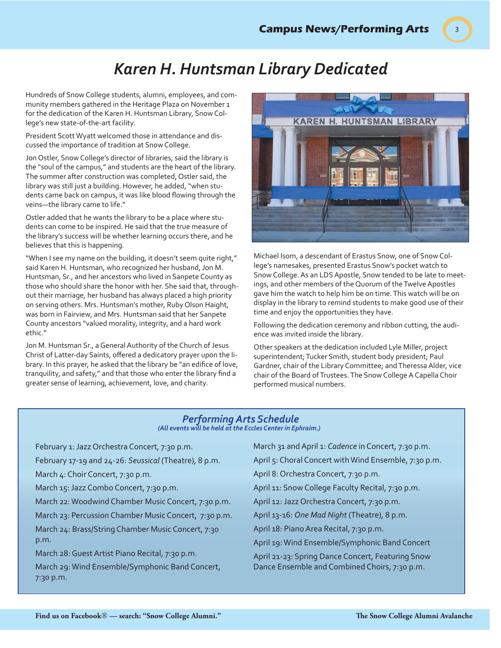3

## *Karen H. Huntsman Library Dedicated*

Hundreds of Snow College students, alumni, employees, and community members gathered in the Heritage Plaza on November 1 for the dedication of the Karen H. Huntsman Library, Snow College's new state-of-the-art facility.

President Scott Wyatt welcomed those in attendance and discussed the importance of tradition at Snow College.

Jon Ostler, Snow College's director of libraries, said the library is the "soul of the campus," and students are the heart of the library. The summer after construction was completed, Ostler said, the library was still just a building. However, he added, "when students came back on campus, it was like blood flowing through the veins—the library came to life."

Ostler added that he wants the library to be a place where students can come to be inspired. He said that the true measure of the library's success will be whether learning occurs there, and he believes that this is happening.

"When I see my name on the building, it doesn't seem quite right," said Karen H. Huntsman, who recognized her husband, Jon M. Huntsman, Sr., and her ancestors who lived in Sanpete County as those who should share the honor with her. She said that, throughout their marriage, her husband has always placed a high priority on serving others. Mrs. Huntsman's mother, Ruby Olson Haight, was born in Fairview, and Mrs. Huntsman said that her Sanpete County ancestors "valued morality, integrity, and a hard work ethic."

Jon M. Huntsman Sr., a General Authority of the Church of Jesus Christ of Latter-day Saints, offered a dedicatory prayer upon the library. In this prayer, he asked that the library be "an edifice of love, tranquility, and safety," and that those who enter the library find a greater sense of learning, achievement, love, and charity.



Michael Isom, a descendant of Erastus Snow, one of Snow College's namesakes, presented Erastus Snow's pocket watch to Snow College. As an LDS Apostle, Snow tended to be late to meetings, and other members of the Quorum of the Twelve Apostles gave him the watch to help him be on time. This watch will be on display in the library to remind students to make good use of their time and enjoy the opportunities they have.

Following the dedication ceremony and ribbon cutting, the audience was invited inside the library.

Other speakers at the dedication included Lyle Miller, project superintendent; Tucker Smith, student body president; Paul Gardner, chair of the Library Committee; and Theressa Alder, vice chair of the Board of Trustees. The Snow College A Capella Choir performed musical numbers.

#### *Performing Arts Schedule (All events will be held at the Eccles Center in Ephraim.)*

| February 1: Jazz Orchestra Concert, 7:30 p.m.         | March 31 and April 1: Cadence in Concert, 7:30 p.m.   |
|-------------------------------------------------------|-------------------------------------------------------|
| February 17-19 and 24-26: Seussical (Theatre), 8 p.m. | April 5: Choral Concert with Wind Ensemble, 7:30 p.m. |
| March 4: Choir Concert, 7:30 p.m.                     | April 8: Orchestra Concert, 7:30 p.m.                 |
| March 15: Jazz Combo Concert, 7:30 p.m.               | April 11: Snow College Faculty Recital, 7:30 p.m.     |
| March 22: Woodwind Chamber Music Concert, 7:30 p.m.   | April 12: Jazz Orchestra Concert, 7:30 p.m.           |
| March 23: Percussion Chamber Music Concert, 7:30 p.m. | April 13-16: One Mad Night (Theatre), 8 p.m.          |
| March 24: Brass/String Chamber Music Concert, 7:30    | April 18: Piano Area Recital, 7:30 p.m.               |
| p.m.                                                  | April 19: Wind Ensemble/Symphonic Band Concert        |
| March 28: Guest Artist Piano Recital, 7:30 p.m.       | April 21-23: Spring Dance Concert, Featuring Snow     |
| March 29: Wind Ensemble/Symphonic Band Concert,       | Dance Ensemble and Combined Choirs, 7:30 p.m.         |
| $7:30$ p.m.                                           |                                                       |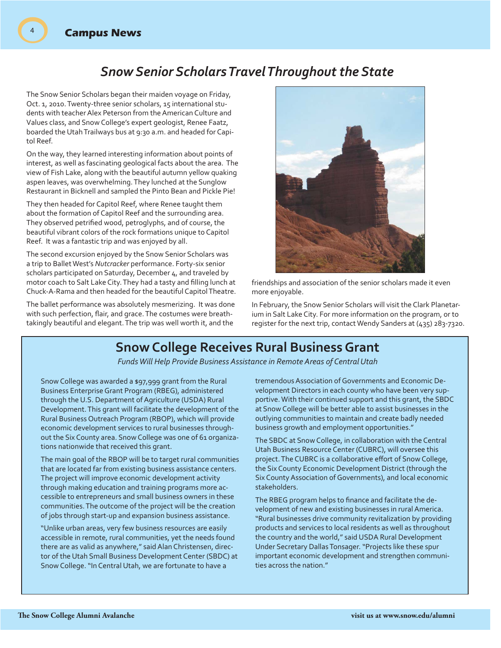### *Snow Senior Scholars Travel Throughout the State*

The Snow Senior Scholars began their maiden voyage on Friday, Oct. 1, 2010. Twenty-three senior scholars, 15 international students with teacher Alex Peterson from the American Culture and Values class, and Snow College's expert geologist, Renee Faatz, boarded the Utah Trailways bus at 9:30 a.m. and headed for Capitol Reef.

On the way, they learned interesting information about points of interest, as well as fascinating geological facts about the area. The view of Fish Lake, along with the beautiful autumn yellow quaking aspen leaves, was overwhelming. They lunched at the Sunglow Restaurant in Bicknell and sampled the Pinto Bean and Pickle Pie!

They then headed for Capitol Reef, where Renee taught them about the formation of Capitol Reef and the surrounding area. They observed petrified wood, petroglyphs, and of course, the beautiful vibrant colors of the rock formations unique to Capitol Reef. It was a fantastic trip and was enjoyed by all.

The second excursion enjoyed by the Snow Senior Scholars was a trip to Ballet West's *Nutcracker* performance. Forty-six senior scholars participated on Saturday, December 4, and traveled by motor coach to Salt Lake City. They had a tasty and filling lunch at Chuck-A-Rama and then headed for the beautiful Capitol Theatre.

The ballet performance was absolutely mesmerizing. It was done with such perfection, flair, and grace. The costumes were breathtakingly beautiful and elegant. The trip was well worth it, and the



friendships and association of the senior scholars made it even more enjoyable.

In February, the Snow Senior Scholars will visit the Clark Planetarium in Salt Lake City. For more information on the program, or to register for the next trip, contact Wendy Sanders at (435) 283-7320.

## **Snow College Receives Rural Business Grant**

*Funds Will Help Provide Business Assistance in Remote Areas of Central Utah*

Snow College was awarded a \$97,999 grant from the Rural Business Enterprise Grant Program (RBEG), administered through the U.S. Department of Agriculture (USDA) Rural Development. This grant will facilitate the development of the Rural Business Outreach Program (RBOP), which will provide economic development services to rural businesses throughout the Six County area. Snow College was one of 61 organizations nationwide that received this grant.

The main goal of the RBOP will be to target rural communities that are located far from existing business assistance centers. The project will improve economic development activity through making education and training programs more accessible to entrepreneurs and small business owners in these communities. The outcome of the project will be the creation of jobs through start-up and expansion business assistance.

"Unlike urban areas, very few business resources are easily accessible in remote, rural communities, yet the needs found there are as valid as anywhere," said Alan Christensen, director of the Utah Small Business Development Center (SBDC) at Snow College. "In Central Utah, we are fortunate to have a

tremendous Association of Governments and Economic Development Directors in each county who have been very supportive. With their continued support and this grant, the SBDC at Snow College will be better able to assist businesses in the outlying communities to maintain and create badly needed business growth and employment opportunities."

The SBDC at Snow College, in collaboration with the Central Utah Business Resource Center (CUBRC), will oversee this project. The CUBRC is a collaborative effort of Snow College, the Six County Economic Development District (through the Six County Association of Governments), and local economic stakeholders.

The RBEG program helps to finance and facilitate the development of new and existing businesses in rural America. "Rural businesses drive community revitalization by providing products and services to local residents as well as throughout the country and the world," said USDA Rural Development Under Secretary Dallas Tonsager. "Projects like these spur important economic development and strengthen communities across the nation."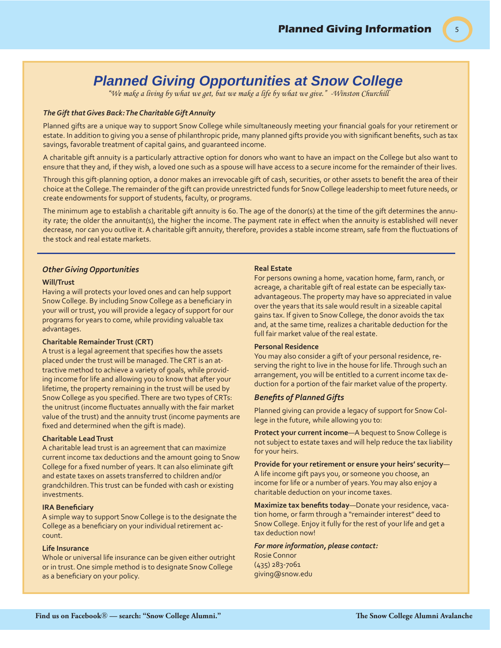5

## *Planned Giving Opportunities at Snow College*

*"We make a living by what we get, but we make a life by what we give." -Winston Churchill*

#### *The Gift that Gives Back: The Charitable Gift Annuity*

Planned gifts are a unique way to support Snow College while simultaneously meeting your financial goals for your retirement or estate. In addition to giving you a sense of philanthropic pride, many planned gifts provide you with significant benefits, such as tax savings, favorable treatment of capital gains, and guaranteed income.

A charitable gift annuity is a particularly attractive option for donors who want to have an impact on the College but also want to ensure that they and, if they wish, a loved one such as a spouse will have access to a secure income for the remainder of their lives.

Through this gift-planning option, a donor makes an irrevocable gift of cash, securities, or other assets to benefit the area of their choice at the College. The remainder of the gift can provide unrestricted funds for Snow College leadership to meet future needs, or create endowments for support of students, faculty, or programs.

The minimum age to establish a charitable gift annuity is 60. The age of the donor(s) at the time of the gift determines the annuity rate; the older the annuitant(s), the higher the income. The payment rate in effect when the annuity is established will never decrease, nor can you outlive it. A charitable gift annuity, therefore, provides a stable income stream, safe from the fluctuations of the stock and real estate markets.

#### *Other Giving Opportunities*

#### **Will/Trust**

Having a will protects your loved ones and can help support Snow College. By including Snow College as a beneficiary in your will or trust, you will provide a legacy of support for our programs for years to come, while providing valuable tax advantages.

#### **Charitable Remainder Trust (CRT)**

A trust is a legal agreement that specifies how the assets placed under the trust will be managed. The CRT is an attractive method to achieve a variety of goals, while providing income for life and allowing you to know that after your lifetime, the property remaining in the trust will be used by Snow College as you specified. There are two types of CRTs: the unitrust (income fluctuates annually with the fair market value of the trust) and the annuity trust (income payments are fixed and determined when the gift is made).

#### **Charitable Lead Trust**

A charitable lead trust is an agreement that can maximize current income tax deductions and the amount going to Snow College for a fixed number of years. It can also eliminate gift and estate taxes on assets transferred to children and/or grandchildren. This trust can be funded with cash or existing investments.

#### **IRA Benefi ciary**

A simple way to support Snow College is to the designate the College as a beneficiary on your individual retirement account.

#### **Life Insurance**

Whole or universal life insurance can be given either outright or in trust. One simple method is to designate Snow College as a beneficiary on your policy.

#### **Real Estate**

For persons owning a home, vacation home, farm, ranch, or acreage, a charitable gift of real estate can be especially taxadvantageous. The property may have so appreciated in value over the years that its sale would result in a sizeable capital gains tax. If given to Snow College, the donor avoids the tax and, at the same time, realizes a charitable deduction for the full fair market value of the real estate.

#### **Personal Residence**

You may also consider a gift of your personal residence, reserving the right to live in the house for life. Through such an arrangement, you will be entitled to a current income tax deduction for a portion of the fair market value of the property.

#### **Benefits of Planned Gifts**

Planned giving can provide a legacy of support for Snow College in the future, while allowing you to:

**Protect your current income**—A bequest to Snow College is not subject to estate taxes and will help reduce the tax liability for your heirs.

**Provide for your retirement or ensure your heirs' security**— A life income gift pays you, or someone you choose, an income for life or a number of years. You may also enjoy a charitable deduction on your income taxes.

**Maximize tax benefits today—Donate your residence, vaca**tion home, or farm through a "remainder interest" deed to Snow College. Enjoy it fully for the rest of your life and get a tax deduction now!

#### *For more information, please contact:* Rosie Connor

(435) 283-7061 giving@snow.edu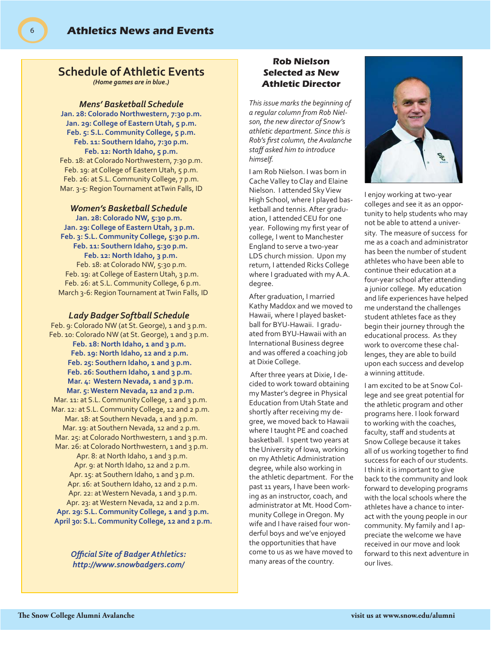### **Schedule of Athletic Events**

*(Home games are in blue.)*

#### *Mens' Basketball Schedule*

**Jan. 28: Colorado Northwestern, 7:30 p.m. Jan. 29: College of Eastern Utah, 5 p.m. Feb. 5: S.L. Community College, 5 p.m. Feb. 11: Southern Idaho, 7:30 p.m. Feb. 12: North Idaho, 5 p.m.** Feb. 18: at Colorado Northwestern, 7:30 p.m. Feb. 19: at College of Eastern Utah, 5 p.m. Feb. 26: at S.L. Community College, 7 p.m. Mar. 3-5: Region Tournament atTwin Falls, ID

#### *Women's Basketball Schedule*

**Jan. 28: Colorado NW, 5:30 p.m. Jan. 29: College of Eastern Utah, 3 p.m. Feb. 3: S.L. Community College, 5:30 p.m. Feb. 11: Southern Idaho, 5:30 p.m. Feb. 12: North Idaho, 3 p.m.** Feb. 18: at Colorado NW, 5:30 p.m. Feb. 19: at College of Eastern Utah, 3 p.m. Feb. 26: at S.L. Community College, 6 p.m. March 3-6: Region Tournament at Twin Falls, ID

#### *Lady Badger Softball Schedule*

Feb. 9: Colorado NW (at St. George), 1 and 3 p.m. Feb. 10: Colorado NW (at St. George), 1 and 3 p.m. **Feb. 18: North Idaho, 1 and 3 p.m. Feb. 19: North Idaho, 12 and 2 p.m. Feb. 25: Southern Idaho, 1 and 3 p.m. Feb. 26: Southern Idaho, 1 and 3 p.m. Mar. 4: Western Nevada, 1 and 3 p.m. Mar. 5: Western Nevada, 12 and 2 p.m.** Mar. 11: at S.L. Community College, 1 and 3 p.m. Mar. 12: at S.L. Community College, 12 and 2 p.m. Mar. 18: at Southern Nevada, 1 and 3 p.m. Mar. 19: at Southern Nevada, 12 and 2 p.m. Mar. 25: at Colorado Northwestern, 1 and 3 p.m. Mar. 26: at Colorado Northwestern, 1 and 3 p.m. Apr. 8: at North Idaho, 1 and 3 p.m. Apr. 9: at North Idaho, 12 and 2 p.m. Apr. 15: at Southern Idaho, 1 and 3 p.m. Apr. 16: at Southern Idaho, 12 and 2 p.m. Apr. 22: at Western Nevada, 1 and 3 p.m. Apr. 23: at Western Nevada, 12 and 2 p.m. Apr. 29: S.L. Community College, 1 and 3 p.m. **April 30: S.L. Community College, 12 and 2 p.m.** 

> *Offi cial Site of Badger Athletics: http://www.snowbadgers.com/*

### **Rob Nielson Selected as New Athletic Director**

*This issue marks the beginning of a regular column from Rob Nielson, the new director of Snow's athletic department. Since this is Rob's fi rst column, the Avalanche staff asked him to introduce himself.*

I am Rob Nielson. I was born in Cache Valley to Clay and Elaine Nielson. I attended Sky View High School, where I played basketball and tennis. After graduation, I attended CEU for one year. Following my first year of college, I went to Manchester England to serve a two-year LDS church mission. Upon my return, I attended Ricks College where I graduated with my A.A. degree.

After graduation, I married Kathy Maddox and we moved to Hawaii, where I played basketball for BYU-Hawaii. I graduated from BYU-Hawaii with an International Business degree and was offered a coaching job at Dixie College.

 After three years at Dixie, I decided to work toward obtaining my Master's degree in Physical Education from Utah State and shortly after receiving my degree, we moved back to Hawaii where I taught PE and coached basketball. I spent two years at the University of Iowa, working on my Athletic Administration degree, while also working in the athletic department. For the past 11 years, I have been working as an instructor, coach, and administrator at Mt. Hood Community College in Oregon. My wife and I have raised four wonderful boys and we've enjoyed the opportunities that have come to us as we have moved to many areas of the country.



I enjoy working at two-year colleges and see it as an opportunity to help students who may not be able to attend a university. The measure of success for me as a coach and administrator has been the number of student athletes who have been able to continue their education at a four-year school after attending a junior college. My education and life experiences have helped me understand the challenges student athletes face as they begin their journey through the educational process. As they work to overcome these challenges, they are able to build upon each success and develop a winning attitude.

I am excited to be at Snow College and see great potential for the athletic program and other programs here. I look forward to working with the coaches, faculty, staff and students at Snow College because it takes all of us working together to find success for each of our students. I think it is important to give back to the community and look forward to developing programs with the local schools where the athletes have a chance to interact with the young people in our community. My family and I appreciate the welcome we have received in our move and look forward to this next adventure in our lives.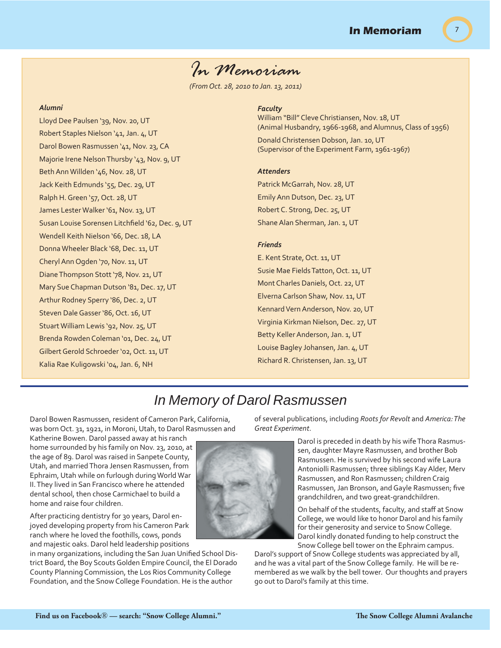7

## *In Memoriam*

*(From Oct. 28, 2010 to Jan. 13, 2011)*

#### *Alumni*

Lloyd Dee Paulsen '39, Nov. 20, UT Robert Staples Nielson '41, Jan. 4, UT Darol Bowen Rasmussen '41, Nov. 23, CA Majorie Irene Nelson Thursby '43, Nov. 9, UT Beth Ann Willden '46, Nov. 28, UT Jack Keith Edmunds '55, Dec. 29, UT Ralph H. Green '57, Oct. 28, UT James Lester Walker '61, Nov. 13, UT Susan Louise Sorensen Litchfield '62, Dec. 9, UT Wendell Keith Nielson '66, Dec. 18, LA Donna Wheeler Black '68, Dec. 11, UT Cheryl Ann Ogden '70, Nov. 11, UT Diane Thompson Stott '78, Nov. 21, UT Mary Sue Chapman Dutson '81, Dec. 17, UT Arthur Rodney Sperry '86, Dec. 2, UT Steven Dale Gasser '86, Oct. 16, UT Stuart William Lewis '92, Nov. 25, UT Brenda Rowden Coleman '01, Dec. 24, UT Gilbert Gerold Schroeder '02, Oct. 11, UT Kalia Rae Kuligowski '04, Jan. 6, NH

#### *Faculty*

William "Bill" Cleve Christiansen, Nov. 18, UT (Animal Husbandry, 1966-1968, and Alumnus, Class of 1956)

Donald Christensen Dobson, Jan. 10, UT (Supervisor of the Experiment Farm, 1961-1967)

#### *Attenders*

Patrick McGarrah, Nov. 28, UT Emily Ann Dutson, Dec. 23, UT Robert C. Strong, Dec. 25, UT Shane Alan Sherman, Jan. 1, UT

#### *Friends*

E. Kent Strate, Oct. 11, UT Susie Mae Fields Tatton, Oct. 11, UT Mont Charles Daniels, Oct. 22, UT Elverna Carlson Shaw, Nov. 11, UT Kennard Vern Anderson, Nov. 20, UT Virginia Kirkman Nielson, Dec. 27, UT Betty Keller Anderson, Jan. 1, UT Louise Bagley Johansen, Jan. 4, UT Richard R. Christensen, Jan. 13, UT

## *In Memory of Darol Rasmussen*

Darol Bowen Rasmussen, resident of Cameron Park, California, was born Oct. 31, 1921, in Moroni, Utah, to Darol Rasmussen and

Katherine Bowen. Darol passed away at his ranch home surrounded by his family on Nov. 23, 2010, at the age of 89. Darol was raised in Sanpete County, Utah, and married Thora Jensen Rasmussen, from Ephraim, Utah while on furlough during World War II. They lived in San Francisco where he attended dental school, then chose Carmichael to build a home and raise four children.

After practicing dentistry for 30 years, Darol enjoyed developing property from his Cameron Park ranch where he loved the foothills, cows, ponds and majestic oaks. Darol held leadership positions

in many organizations, including the San Juan Unified School District Board, the Boy Scouts Golden Empire Council, the El Dorado County Planning Commission, the Los Rios Community College Foundation, and the Snow College Foundation. He is the author

of several publications, including *Roots for Revolt* and *America: The Great Experiment*.

> Darol is preceded in death by his wife Thora Rasmussen, daughter Mayre Rasmussen, and brother Bob Rasmussen. He is survived by his second wife Laura Antoniolli Rasmussen; three siblings Kay Alder, Merv Rasmussen, and Ron Rasmussen; children Craig Rasmussen, Jan Bronson, and Gayle Rasmussen; five grandchildren, and two great-grandchildren.

On behalf of the students, faculty, and staff at Snow College, we would like to honor Darol and his family for their generosity and service to Snow College. Darol kindly donated funding to help construct the Snow College bell tower on the Ephraim campus.

Darol's support of Snow College students was appreciated by all, and he was a vital part of the Snow College family. He will be remembered as we walk by the bell tower. Our thoughts and prayers go out to Darol's family at this time.